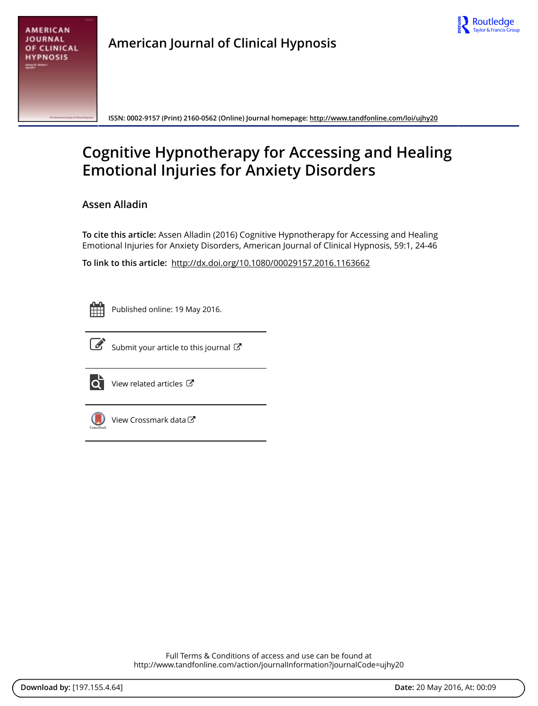

**American Journal of Clinical Hypnosis**

**ISSN: 0002-9157 (Print) 2160-0562 (Online) Journal homepage:<http://www.tandfonline.com/loi/ujhy20>**

# **Cognitive Hypnotherapy for Accessing and Healing Emotional Injuries for Anxiety Disorders**

**Assen Alladin**

**To cite this article:** Assen Alladin (2016) Cognitive Hypnotherapy for Accessing and Healing Emotional Injuries for Anxiety Disorders, American Journal of Clinical Hypnosis, 59:1, 24-46

**To link to this article:** <http://dx.doi.org/10.1080/00029157.2016.1163662>



Published online: 19 May 2016.



 $\overline{\mathscr{L}}$  [Submit your article to this journal](http://www.tandfonline.com/action/authorSubmission?journalCode=ujhy20&page=instructions)  $\mathbb{Z}$ 



 $\overrightarrow{Q}$  [View related articles](http://www.tandfonline.com/doi/mlt/10.1080/00029157.2016.1163662)  $\overrightarrow{C}$ 



[View Crossmark data](http://crossmark.crossref.org/dialog/?doi=10.1080/00029157.2016.1163662&domain=pdf&date_stamp=2016-05-19)

Full Terms & Conditions of access and use can be found at <http://www.tandfonline.com/action/journalInformation?journalCode=ujhy20>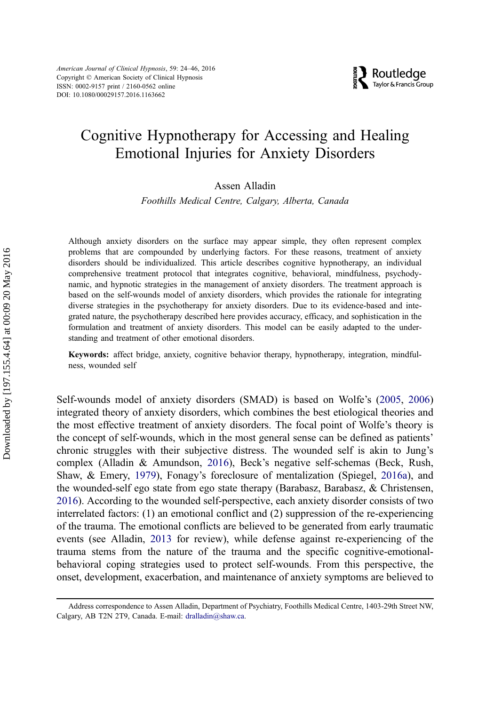## Cognitive Hypnotherapy for Accessing and Healing Emotional Injuries for Anxiety Disorders

## Assen Alladin

Foothills Medical Centre, Calgary, Alberta, Canada

Although anxiety disorders on the surface may appear simple, they often represent complex problems that are compounded by underlying factors. For these reasons, treatment of anxiety disorders should be individualized. This article describes cognitive hypnotherapy, an individual comprehensive treatment protocol that integrates cognitive, behavioral, mindfulness, psychodynamic, and hypnotic strategies in the management of anxiety disorders. The treatment approach is based on the self-wounds model of anxiety disorders, which provides the rationale for integrating diverse strategies in the psychotherapy for anxiety disorders. Due to its evidence-based and integrated nature, the psychotherapy described here provides accuracy, efficacy, and sophistication in the formulation and treatment of anxiety disorders. This model can be easily adapted to the understanding and treatment of other emotional disorders.

Keywords: affect bridge, anxiety, cognitive behavior therapy, hypnotherapy, integration, mindfulness, wounded self

Self-wounds model of anxiety disorders (SMAD) is based on Wolfe's [\(2005](#page-23-0), [2006\)](#page-23-0) integrated theory of anxiety disorders, which combines the best etiological theories and the most effective treatment of anxiety disorders. The focal point of Wolfe's theory is the concept of self-wounds, which in the most general sense can be defined as patients' chronic struggles with their subjective distress. The wounded self is akin to Jung's complex (Alladin & Amundson, [2016](#page-19-0)), Beck's negative self-schemas (Beck, Rush, Shaw, & Emery, [1979](#page-19-0)), Fonagy's foreclosure of mentalization (Spiegel, [2016a\)](#page-22-0), and the wounded-self ego state from ego state therapy (Barabasz, Barabasz, & Christensen, [2016\)](#page-19-0). According to the wounded self-perspective, each anxiety disorder consists of two interrelated factors: (1) an emotional conflict and (2) suppression of the re-experiencing of the trauma. The emotional conflicts are believed to be generated from early traumatic events (see Alladin, [2013](#page-19-0) for review), while defense against re-experiencing of the trauma stems from the nature of the trauma and the specific cognitive-emotionalbehavioral coping strategies used to protect self-wounds. From this perspective, the onset, development, exacerbation, and maintenance of anxiety symptoms are believed to

Address correspondence to Assen Alladin, Department of Psychiatry, Foothills Medical Centre, 1403-29th Street NW, Calgary, AB T2N 2T9, Canada. E-mail: [dralladin@shaw.ca](mailto:dralladin@shaw.ca).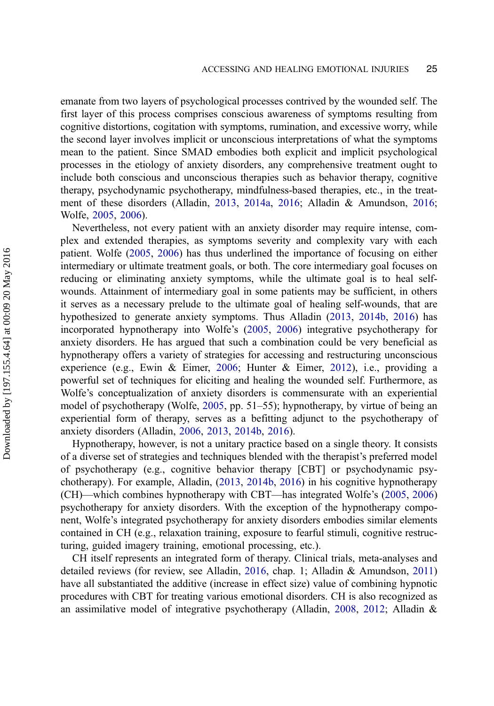emanate from two layers of psychological processes contrived by the wounded self. The first layer of this process comprises conscious awareness of symptoms resulting from cognitive distortions, cogitation with symptoms, rumination, and excessive worry, while the second layer involves implicit or unconscious interpretations of what the symptoms mean to the patient. Since SMAD embodies both explicit and implicit psychological processes in the etiology of anxiety disorders, any comprehensive treatment ought to include both conscious and unconscious therapies such as behavior therapy, cognitive therapy, psychodynamic psychotherapy, mindfulness-based therapies, etc., in the treatment of these disorders (Alladin, [2013](#page-19-0), [2014a,](#page-19-0) [2016;](#page-19-0) Alladin & Amundson, [2016](#page-19-0); Wolfe, [2005](#page-23-0), [2006](#page-23-0)).

Nevertheless, not every patient with an anxiety disorder may require intense, complex and extended therapies, as symptoms severity and complexity vary with each patient. Wolfe ([2005,](#page-23-0) [2006\)](#page-23-0) has thus underlined the importance of focusing on either intermediary or ultimate treatment goals, or both. The core intermediary goal focuses on reducing or eliminating anxiety symptoms, while the ultimate goal is to heal selfwounds. Attainment of intermediary goal in some patients may be sufficient, in others it serves as a necessary prelude to the ultimate goal of healing self-wounds, that are hypothesized to generate anxiety symptoms. Thus Alladin [\(2013](#page-19-0), [2014b,](#page-19-0) [2016](#page-19-0)) has incorporated hypnotherapy into Wolfe's [\(2005](#page-23-0), [2006](#page-23-0)) integrative psychotherapy for anxiety disorders. He has argued that such a combination could be very beneficial as hypnotherapy offers a variety of strategies for accessing and restructuring unconscious experience (e.g., Ewin & Eimer, [2006;](#page-20-0) Hunter & Eimer, [2012\)](#page-21-0), i.e., providing a powerful set of techniques for eliciting and healing the wounded self. Furthermore, as Wolfe's conceptualization of anxiety disorders is commensurate with an experiential model of psychotherapy (Wolfe, [2005,](#page-23-0) pp. 51–55); hypnotherapy, by virtue of being an experiential form of therapy, serves as a befitting adjunct to the psychotherapy of anxiety disorders (Alladin, [2006,](#page-19-0) [2013](#page-19-0), [2014b,](#page-19-0) [2016](#page-19-0)).

Hypnotherapy, however, is not a unitary practice based on a single theory. It consists of a diverse set of strategies and techniques blended with the therapist's preferred model of psychotherapy (e.g., cognitive behavior therapy [CBT] or psychodynamic psychotherapy). For example, Alladin, ([2013](#page-19-0), [2014b](#page-19-0), [2016](#page-19-0)) in his cognitive hypnotherapy (CH)—which combines hypnotherapy with CBT—has integrated Wolfe's ([2005,](#page-23-0) [2006\)](#page-23-0) psychotherapy for anxiety disorders. With the exception of the hypnotherapy component, Wolfe's integrated psychotherapy for anxiety disorders embodies similar elements contained in CH (e.g., relaxation training, exposure to fearful stimuli, cognitive restructuring, guided imagery training, emotional processing, etc.).

CH itself represents an integrated form of therapy. Clinical trials, meta-analyses and detailed reviews (for review, see Alladin, [2016,](#page-19-0) chap. 1; Alladin & Amundson, [2011\)](#page-19-0) have all substantiated the additive (increase in effect size) value of combining hypnotic procedures with CBT for treating various emotional disorders. CH is also recognized as an assimilative model of integrative psychotherapy (Alladin, [2008](#page-19-0), [2012;](#page-19-0) Alladin &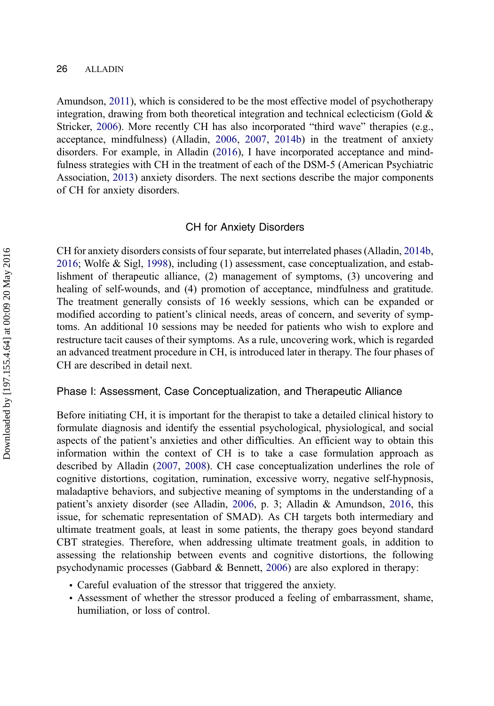Amundson, [2011\)](#page-19-0), which is considered to be the most effective model of psychotherapy integration, drawing from both theoretical integration and technical eclecticism (Gold & Stricker, [2006](#page-20-0)). More recently CH has also incorporated "third wave" therapies (e.g., acceptance, mindfulness) (Alladin, [2006,](#page-19-0) [2007,](#page-19-0) [2014b\)](#page-19-0) in the treatment of anxiety disorders. For example, in Alladin ([2016](#page-19-0)), I have incorporated acceptance and mindfulness strategies with CH in the treatment of each of the DSM-5 (American Psychiatric Association, [2013\)](#page-19-0) anxiety disorders. The next sections describe the major components of CH for anxiety disorders.

## CH for Anxiety Disorders

CH for anxiety disorders consists of four separate, but interrelated phases (Alladin, [2014b](#page-19-0), [2016;](#page-19-0) Wolfe & Sigl, [1998](#page-23-0)), including (1) assessment, case conceptualization, and establishment of therapeutic alliance, (2) management of symptoms, (3) uncovering and healing of self-wounds, and (4) promotion of acceptance, mindfulness and gratitude. The treatment generally consists of 16 weekly sessions, which can be expanded or modified according to patient's clinical needs, areas of concern, and severity of symptoms. An additional 10 sessions may be needed for patients who wish to explore and restructure tacit causes of their symptoms. As a rule, uncovering work, which is regarded an advanced treatment procedure in CH, is introduced later in therapy. The four phases of CH are described in detail next.

## Phase I: Assessment, Case Conceptualization, and Therapeutic Alliance

Before initiating CH, it is important for the therapist to take a detailed clinical history to formulate diagnosis and identify the essential psychological, physiological, and social aspects of the patient's anxieties and other difficulties. An efficient way to obtain this information within the context of CH is to take a case formulation approach as described by Alladin ([2007](#page-19-0), [2008\)](#page-19-0). CH case conceptualization underlines the role of cognitive distortions, cogitation, rumination, excessive worry, negative self-hypnosis, maladaptive behaviors, and subjective meaning of symptoms in the understanding of a patient's anxiety disorder (see Alladin, [2006](#page-19-0), p. 3; Alladin & Amundson, [2016](#page-19-0), this issue, for schematic representation of SMAD). As CH targets both intermediary and ultimate treatment goals, at least in some patients, the therapy goes beyond standard CBT strategies. Therefore, when addressing ultimate treatment goals, in addition to assessing the relationship between events and cognitive distortions, the following psychodynamic processes (Gabbard & Bennett, [2006](#page-20-0)) are also explored in therapy:

- Careful evaluation of the stressor that triggered the anxiety.
- Assessment of whether the stressor produced a feeling of embarrassment, shame, humiliation, or loss of control.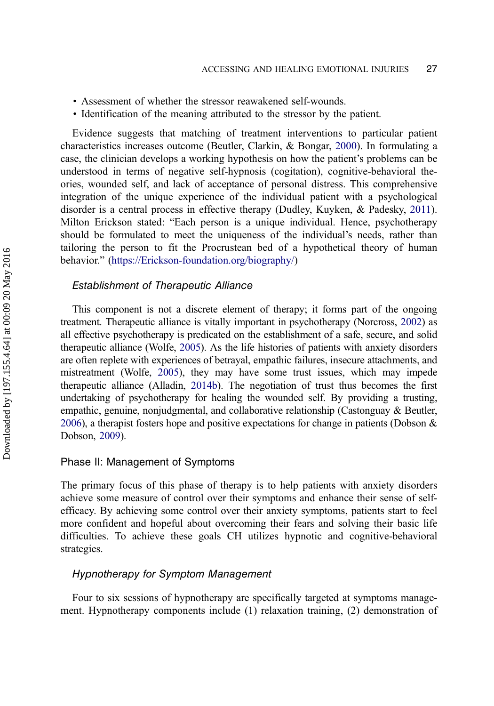- Assessment of whether the stressor reawakened self-wounds.
- Identification of the meaning attributed to the stressor by the patient.

Evidence suggests that matching of treatment interventions to particular patient characteristics increases outcome (Beutler, Clarkin, & Bongar, [2000\)](#page-19-0). In formulating a case, the clinician develops a working hypothesis on how the patient's problems can be understood in terms of negative self-hypnosis (cogitation), cognitive-behavioral theories, wounded self, and lack of acceptance of personal distress. This comprehensive integration of the unique experience of the individual patient with a psychological disorder is a central process in effective therapy (Dudley, Kuyken, & Padesky, [2011\)](#page-20-0). Milton Erickson stated: "Each person is a unique individual. Hence, psychotherapy should be formulated to meet the uniqueness of the individual's needs, rather than tailoring the person to fit the Procrustean bed of a hypothetical theory of human behavior." (<https://Erickson-foundation.org/biography/>)

## Establishment of Therapeutic Alliance

This component is not a discrete element of therapy; it forms part of the ongoing treatment. Therapeutic alliance is vitally important in psychotherapy (Norcross, [2002](#page-21-0)) as all effective psychotherapy is predicated on the establishment of a safe, secure, and solid therapeutic alliance (Wolfe, [2005\)](#page-23-0). As the life histories of patients with anxiety disorders are often replete with experiences of betrayal, empathic failures, insecure attachments, and mistreatment (Wolfe, [2005](#page-23-0)), they may have some trust issues, which may impede therapeutic alliance (Alladin, [2014b\)](#page-19-0). The negotiation of trust thus becomes the first undertaking of psychotherapy for healing the wounded self. By providing a trusting, empathic, genuine, nonjudgmental, and collaborative relationship (Castonguay & Beutler, [2006](#page-19-0)), a therapist fosters hope and positive expectations for change in patients (Dobson & Dobson, [2009\)](#page-20-0).

#### Phase II: Management of Symptoms

The primary focus of this phase of therapy is to help patients with anxiety disorders achieve some measure of control over their symptoms and enhance their sense of selfefficacy. By achieving some control over their anxiety symptoms, patients start to feel more confident and hopeful about overcoming their fears and solving their basic life difficulties. To achieve these goals CH utilizes hypnotic and cognitive-behavioral strategies.

#### Hypnotherapy for Symptom Management

Four to six sessions of hypnotherapy are specifically targeted at symptoms management. Hypnotherapy components include (1) relaxation training, (2) demonstration of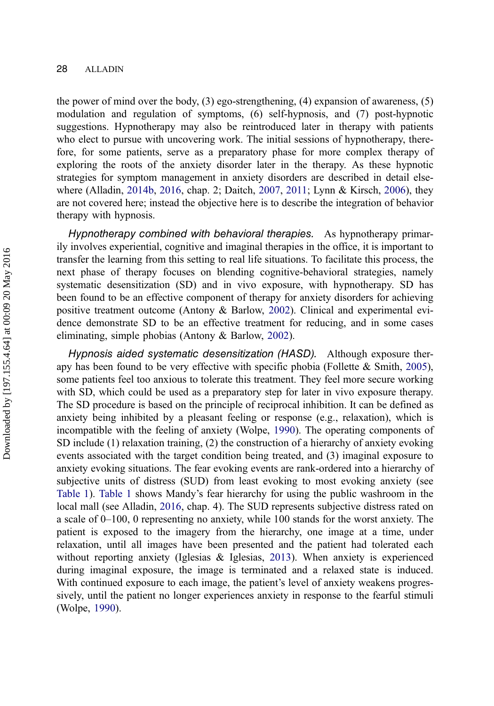the power of mind over the body, (3) ego-strengthening, (4) expansion of awareness, (5) modulation and regulation of symptoms, (6) self-hypnosis, and (7) post-hypnotic suggestions. Hypnotherapy may also be reintroduced later in therapy with patients who elect to pursue with uncovering work. The initial sessions of hypnotherapy, therefore, for some patients, serve as a preparatory phase for more complex therapy of exploring the roots of the anxiety disorder later in the therapy. As these hypnotic strategies for symptom management in anxiety disorders are described in detail elsewhere (Alladin, [2014b,](#page-19-0) [2016,](#page-19-0) chap. 2; Daitch, [2007,](#page-20-0) [2011](#page-20-0); Lynn & Kirsch, [2006\)](#page-21-0), they are not covered here; instead the objective here is to describe the integration of behavior therapy with hypnosis.

Hypnotherapy combined with behavioral therapies. As hypnotherapy primarily involves experiential, cognitive and imaginal therapies in the office, it is important to transfer the learning from this setting to real life situations. To facilitate this process, the next phase of therapy focuses on blending cognitive-behavioral strategies, namely systematic desensitization (SD) and in vivo exposure, with hypnotherapy. SD has been found to be an effective component of therapy for anxiety disorders for achieving positive treatment outcome (Antony & Barlow, [2002\)](#page-19-0). Clinical and experimental evidence demonstrate SD to be an effective treatment for reducing, and in some cases eliminating, simple phobias (Antony & Barlow, [2002\)](#page-19-0).

Hypnosis aided systematic desensitization (HASD). Although exposure therapy has been found to be very effective with specific phobia (Follette  $\&$  Smith, [2005\)](#page-20-0), some patients feel too anxious to tolerate this treatment. They feel more secure working with SD, which could be used as a preparatory step for later in vivo exposure therapy. The SD procedure is based on the principle of reciprocal inhibition. It can be defined as anxiety being inhibited by a pleasant feeling or response (e.g., relaxation), which is incompatible with the feeling of anxiety (Wolpe, [1990](#page-23-0)). The operating components of SD include (1) relaxation training, (2) the construction of a hierarchy of anxiety evoking events associated with the target condition being treated, and (3) imaginal exposure to anxiety evoking situations. The fear evoking events are rank-ordered into a hierarchy of subjective units of distress (SUD) from least evoking to most evoking anxiety (see Table 1). Table 1 shows Mandy's fear hierarchy for using the public washroom in the local mall (see Alladin, [2016,](#page-19-0) chap. 4). The SUD represents subjective distress rated on a scale of 0–100, 0 representing no anxiety, while 100 stands for the worst anxiety. The patient is exposed to the imagery from the hierarchy, one image at a time, under relaxation, until all images have been presented and the patient had tolerated each without reporting anxiety (Iglesias  $\&$  Iglesias, [2013](#page-21-0)). When anxiety is experienced during imaginal exposure, the image is terminated and a relaxed state is induced. With continued exposure to each image, the patient's level of anxiety weakens progressively, until the patient no longer experiences anxiety in response to the fearful stimuli (Wolpe, [1990\)](#page-23-0).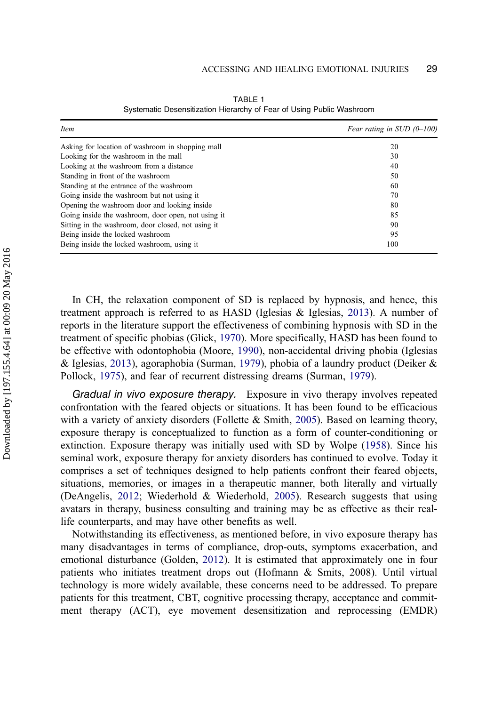| <b>Item</b>                                        | Fear rating in SUD $(0-100)$ |
|----------------------------------------------------|------------------------------|
| Asking for location of washroom in shopping mall   | 20                           |
| Looking for the washroom in the mall               | 30                           |
| Looking at the washroom from a distance            | 40                           |
| Standing in front of the washroom                  | 50                           |
| Standing at the entrance of the washroom           | 60                           |
| Going inside the washroom but not using it         | 70                           |
| Opening the washroom door and looking inside       | 80                           |
| Going inside the washroom, door open, not using it | 85                           |
| Sitting in the washroom, door closed, not using it | 90                           |
| Being inside the locked washroom                   | 95                           |
| Being inside the locked washroom, using it         | 100                          |

TABLE 1 Systematic Desensitization Hierarchy of Fear of Using Public Washroom

In CH, the relaxation component of SD is replaced by hypnosis, and hence, this treatment approach is referred to as HASD (Iglesias & Iglesias, [2013\)](#page-21-0). A number of reports in the literature support the effectiveness of combining hypnosis with SD in the treatment of specific phobias (Glick, [1970\)](#page-20-0). More specifically, HASD has been found to be effective with odontophobia (Moore, [1990](#page-21-0)), non-accidental driving phobia (Iglesias & Iglesias, [2013](#page-21-0)), agoraphobia (Surman, [1979\)](#page-22-0), phobia of a laundry product (Deiker & Pollock, [1975](#page-20-0)), and fear of recurrent distressing dreams (Surman, [1979](#page-22-0)).

Gradual in vivo exposure therapy. Exposure in vivo therapy involves repeated confrontation with the feared objects or situations. It has been found to be efficacious with a variety of anxiety disorders (Follette  $& Smith, 2005$  $& Smith, 2005$ ). Based on learning theory, exposure therapy is conceptualized to function as a form of counter-conditioning or extinction. Exposure therapy was initially used with SD by Wolpe [\(1958](#page-23-0)). Since his seminal work, exposure therapy for anxiety disorders has continued to evolve. Today it comprises a set of techniques designed to help patients confront their feared objects, situations, memories, or images in a therapeutic manner, both literally and virtually (DeAngelis, [2012;](#page-20-0) Wiederhold & Wiederhold, [2005\)](#page-23-0). Research suggests that using avatars in therapy, business consulting and training may be as effective as their reallife counterparts, and may have other benefits as well.

Notwithstanding its effectiveness, as mentioned before, in vivo exposure therapy has many disadvantages in terms of compliance, drop-outs, symptoms exacerbation, and emotional disturbance (Golden, [2012](#page-20-0)). It is estimated that approximately one in four patients who initiates treatment drops out (Hofmann & Smits, 2008). Until virtual technology is more widely available, these concerns need to be addressed. To prepare patients for this treatment, CBT, cognitive processing therapy, acceptance and commitment therapy (ACT), eye movement desensitization and reprocessing (EMDR)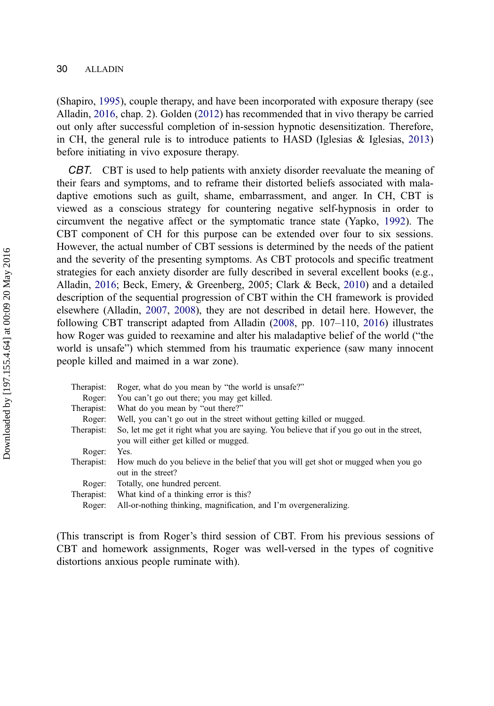(Shapiro, [1995\)](#page-22-0), couple therapy, and have been incorporated with exposure therapy (see Alladin, [2016,](#page-19-0) chap. 2). Golden [\(2012\)](#page-20-0) has recommended that in vivo therapy be carried out only after successful completion of in-session hypnotic desensitization. Therefore, in CH, the general rule is to introduce patients to HASD (Iglesias  $\&$  Iglesias, [2013\)](#page-21-0) before initiating in vivo exposure therapy.

CBT. CBT is used to help patients with anxiety disorder reevaluate the meaning of their fears and symptoms, and to reframe their distorted beliefs associated with maladaptive emotions such as guilt, shame, embarrassment, and anger. In CH, CBT is viewed as a conscious strategy for countering negative self-hypnosis in order to circumvent the negative affect or the symptomatic trance state (Yapko, [1992\)](#page-23-0). The CBT component of CH for this purpose can be extended over four to six sessions. However, the actual number of CBT sessions is determined by the needs of the patient and the severity of the presenting symptoms. As CBT protocols and specific treatment strategies for each anxiety disorder are fully described in several excellent books (e.g., Alladin, [2016;](#page-19-0) Beck, Emery, & Greenberg, 2005; Clark & Beck, [2010\)](#page-19-0) and a detailed description of the sequential progression of CBT within the CH framework is provided elsewhere (Alladin, [2007,](#page-19-0) [2008\)](#page-19-0), they are not described in detail here. However, the following CBT transcript adapted from Alladin ([2008](#page-19-0), pp. 107–110, [2016](#page-19-0)) illustrates how Roger was guided to reexamine and alter his maladaptive belief of the world ("the world is unsafe") which stemmed from his traumatic experience (saw many innocent people killed and maimed in a war zone).

| Therapist: | Roger, what do you mean by "the world is unsafe?"                                                                                   |
|------------|-------------------------------------------------------------------------------------------------------------------------------------|
| Roger:     | You can't go out there; you may get killed.                                                                                         |
| Therapist: | What do you mean by "out there?"                                                                                                    |
| Roger:     | Well, you can't go out in the street without getting killed or mugged.                                                              |
| Therapist: | So, let me get it right what you are saying. You believe that if you go out in the street,<br>you will either get killed or mugged. |
| Roger:     | Yes.                                                                                                                                |
| Therapist: | How much do you believe in the belief that you will get shot or mugged when you go<br>out in the street?                            |
| Roger:     | Totally, one hundred percent.                                                                                                       |
| Therapist: | What kind of a thinking error is this?                                                                                              |
| Roger:     | All-or-nothing thinking, magnification, and I'm overgeneralizing.                                                                   |

(This transcript is from Roger's third session of CBT. From his previous sessions of CBT and homework assignments, Roger was well-versed in the types of cognitive distortions anxious people ruminate with).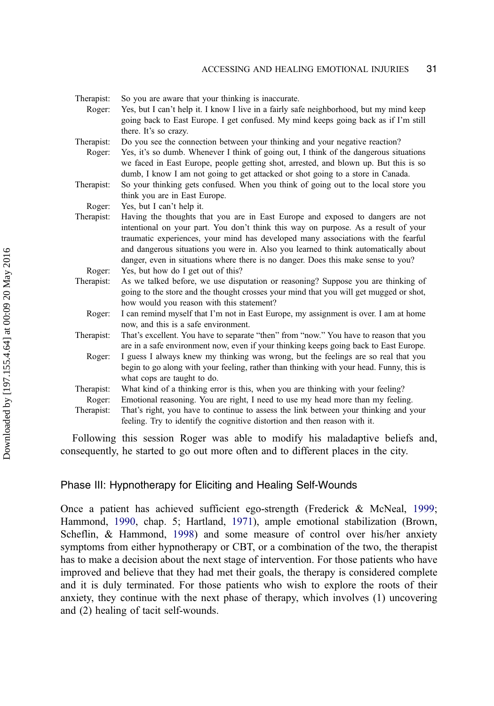| Therapist: | So you are aware that your thinking is inaccurate.                                                                                                                                                                                                                                                                                                                                                                                    |
|------------|---------------------------------------------------------------------------------------------------------------------------------------------------------------------------------------------------------------------------------------------------------------------------------------------------------------------------------------------------------------------------------------------------------------------------------------|
| Roger:     | Yes, but I can't help it. I know I live in a fairly safe neighborhood, but my mind keep<br>going back to East Europe. I get confused. My mind keeps going back as if I'm still<br>there. It's so crazy.                                                                                                                                                                                                                               |
| Therapist: | Do you see the connection between your thinking and your negative reaction?                                                                                                                                                                                                                                                                                                                                                           |
| Roger:     | Yes, it's so dumb. Whenever I think of going out, I think of the dangerous situations<br>we faced in East Europe, people getting shot, arrested, and blown up. But this is so<br>dumb, I know I am not going to get attacked or shot going to a store in Canada.                                                                                                                                                                      |
| Therapist: | So your thinking gets confused. When you think of going out to the local store you<br>think you are in East Europe.                                                                                                                                                                                                                                                                                                                   |
| Roger:     | Yes, but I can't help it.                                                                                                                                                                                                                                                                                                                                                                                                             |
| Therapist: | Having the thoughts that you are in East Europe and exposed to dangers are not<br>intentional on your part. You don't think this way on purpose. As a result of your<br>traumatic experiences, your mind has developed many associations with the fearful<br>and dangerous situations you were in. Also you learned to think automatically about<br>danger, even in situations where there is no danger. Does this make sense to you? |
| Roger:     | Yes, but how do I get out of this?                                                                                                                                                                                                                                                                                                                                                                                                    |
| Therapist: | As we talked before, we use disputation or reasoning? Suppose you are thinking of<br>going to the store and the thought crosses your mind that you will get mugged or shot,<br>how would you reason with this statement?                                                                                                                                                                                                              |
| Roger:     | I can remind myself that I'm not in East Europe, my assignment is over. I am at home<br>now, and this is a safe environment.                                                                                                                                                                                                                                                                                                          |
| Therapist: | That's excellent. You have to separate "then" from "now." You have to reason that you<br>are in a safe environment now, even if your thinking keeps going back to East Europe.                                                                                                                                                                                                                                                        |
| Roger:     | I guess I always knew my thinking was wrong, but the feelings are so real that you<br>begin to go along with your feeling, rather than thinking with your head. Funny, this is<br>what cops are taught to do.                                                                                                                                                                                                                         |
| Therapist: | What kind of a thinking error is this, when you are thinking with your feeling?                                                                                                                                                                                                                                                                                                                                                       |
| Roger:     | Emotional reasoning. You are right, I need to use my head more than my feeling.                                                                                                                                                                                                                                                                                                                                                       |
| Therapist: | That's right, you have to continue to assess the link between your thinking and your<br>feeling. Try to identify the cognitive distortion and then reason with it.                                                                                                                                                                                                                                                                    |

Following this session Roger was able to modify his maladaptive beliefs and, consequently, he started to go out more often and to different places in the city.

## Phase III: Hypnotherapy for Eliciting and Healing Self-Wounds

Once a patient has achieved sufficient ego-strength (Frederick & McNeal, [1999](#page-20-0); Hammond, [1990](#page-20-0), chap. 5; Hartland, [1971](#page-20-0)), ample emotional stabilization (Brown, Scheflin, & Hammond, [1998](#page-19-0)) and some measure of control over his/her anxiety symptoms from either hypnotherapy or CBT, or a combination of the two, the therapist has to make a decision about the next stage of intervention. For those patients who have improved and believe that they had met their goals, the therapy is considered complete and it is duly terminated. For those patients who wish to explore the roots of their anxiety, they continue with the next phase of therapy, which involves (1) uncovering and (2) healing of tacit self-wounds.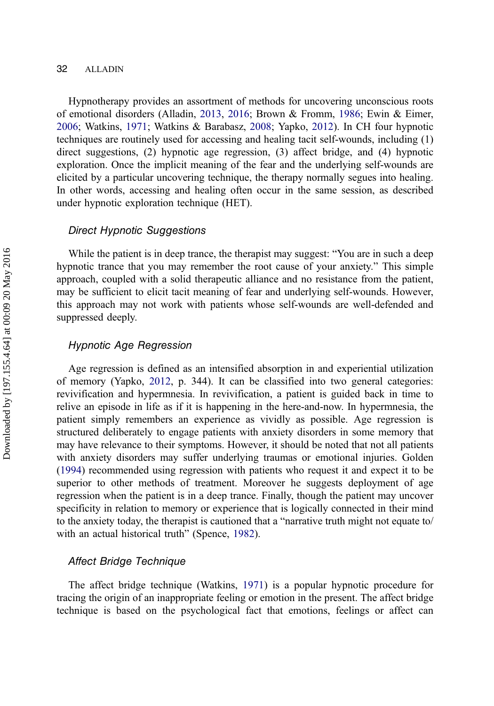#### 32 ALLADIN

Hypnotherapy provides an assortment of methods for uncovering unconscious roots of emotional disorders (Alladin, [2013,](#page-19-0) [2016](#page-19-0); Brown & Fromm, [1986;](#page-19-0) Ewin & Eimer, [2006;](#page-20-0) Watkins, [1971](#page-22-0); Watkins & Barabasz, [2008;](#page-22-0) Yapko, [2012](#page-23-0)). In CH four hypnotic techniques are routinely used for accessing and healing tacit self-wounds, including (1) direct suggestions, (2) hypnotic age regression, (3) affect bridge, and (4) hypnotic exploration. Once the implicit meaning of the fear and the underlying self-wounds are elicited by a particular uncovering technique, the therapy normally segues into healing. In other words, accessing and healing often occur in the same session, as described under hypnotic exploration technique (HET).

## Direct Hypnotic Suggestions

While the patient is in deep trance, the therapist may suggest: "You are in such a deep hypnotic trance that you may remember the root cause of your anxiety." This simple approach, coupled with a solid therapeutic alliance and no resistance from the patient, may be sufficient to elicit tacit meaning of fear and underlying self-wounds. However, this approach may not work with patients whose self-wounds are well-defended and suppressed deeply.

## Hypnotic Age Regression

Age regression is defined as an intensified absorption in and experiential utilization of memory (Yapko, [2012](#page-23-0), p. 344). It can be classified into two general categories: revivification and hypermnesia. In revivification, a patient is guided back in time to relive an episode in life as if it is happening in the here-and-now. In hypermnesia, the patient simply remembers an experience as vividly as possible. Age regression is structured deliberately to engage patients with anxiety disorders in some memory that may have relevance to their symptoms. However, it should be noted that not all patients with anxiety disorders may suffer underlying traumas or emotional injuries. Golden [\(1994](#page-20-0)) recommended using regression with patients who request it and expect it to be superior to other methods of treatment. Moreover he suggests deployment of age regression when the patient is in a deep trance. Finally, though the patient may uncover specificity in relation to memory or experience that is logically connected in their mind to the anxiety today, the therapist is cautioned that a "narrative truth might not equate to/ with an actual historical truth" (Spence, [1982\)](#page-22-0).

## Affect Bridge Technique

The affect bridge technique (Watkins, [1971](#page-22-0)) is a popular hypnotic procedure for tracing the origin of an inappropriate feeling or emotion in the present. The affect bridge technique is based on the psychological fact that emotions, feelings or affect can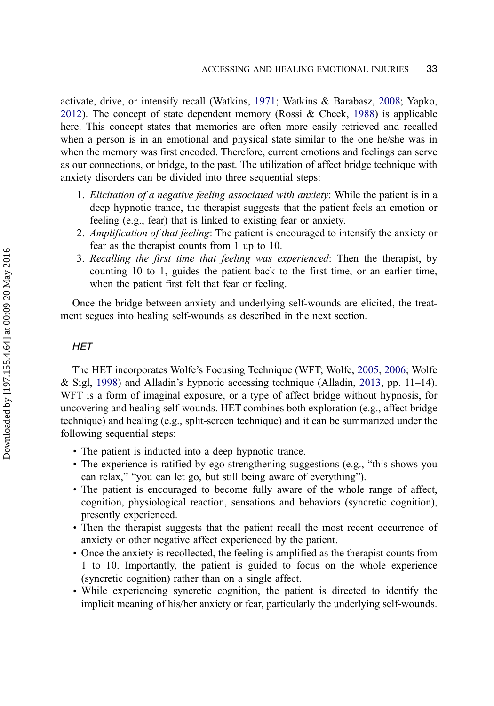activate, drive, or intensify recall (Watkins, [1971](#page-22-0); Watkins & Barabasz, [2008](#page-22-0); Yapko, [2012\)](#page-23-0). The concept of state dependent memory (Rossi & Cheek, [1988](#page-22-0)) is applicable here. This concept states that memories are often more easily retrieved and recalled when a person is in an emotional and physical state similar to the one he/she was in when the memory was first encoded. Therefore, current emotions and feelings can serve as our connections, or bridge, to the past. The utilization of affect bridge technique with anxiety disorders can be divided into three sequential steps:

- 1. Elicitation of a negative feeling associated with anxiety: While the patient is in a deep hypnotic trance, the therapist suggests that the patient feels an emotion or feeling (e.g., fear) that is linked to existing fear or anxiety.
- 2. Amplification of that feeling: The patient is encouraged to intensify the anxiety or fear as the therapist counts from 1 up to 10.
- 3. Recalling the first time that feeling was experienced: Then the therapist, by counting 10 to 1, guides the patient back to the first time, or an earlier time, when the patient first felt that fear or feeling.

Once the bridge between anxiety and underlying self-wounds are elicited, the treatment segues into healing self-wounds as described in the next section.

## **HET**

The HET incorporates Wolfe's Focusing Technique (WFT; Wolfe, [2005](#page-23-0), [2006](#page-23-0); Wolfe & Sigl, [1998](#page-23-0)) and Alladin's hypnotic accessing technique (Alladin, [2013,](#page-19-0) pp. 11–14). WFT is a form of imaginal exposure, or a type of affect bridge without hypnosis, for uncovering and healing self-wounds. HET combines both exploration (e.g., affect bridge technique) and healing (e.g., split-screen technique) and it can be summarized under the following sequential steps:

- The patient is inducted into a deep hypnotic trance.
- The experience is ratified by ego-strengthening suggestions (e.g., "this shows you can relax," "you can let go, but still being aware of everything").
- The patient is encouraged to become fully aware of the whole range of affect, cognition, physiological reaction, sensations and behaviors (syncretic cognition), presently experienced.
- Then the therapist suggests that the patient recall the most recent occurrence of anxiety or other negative affect experienced by the patient.
- Once the anxiety is recollected, the feeling is amplified as the therapist counts from 1 to 10. Importantly, the patient is guided to focus on the whole experience (syncretic cognition) rather than on a single affect.
- While experiencing syncretic cognition, the patient is directed to identify the implicit meaning of his/her anxiety or fear, particularly the underlying self-wounds.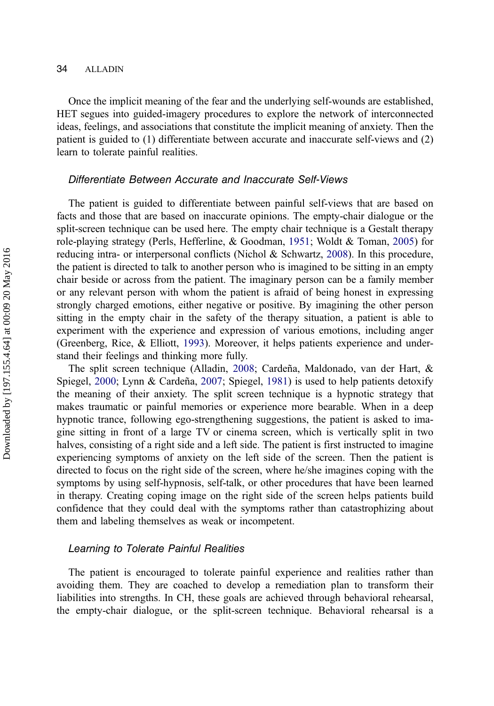#### 34 ALLADIN

Once the implicit meaning of the fear and the underlying self-wounds are established, HET segues into guided-imagery procedures to explore the network of interconnected ideas, feelings, and associations that constitute the implicit meaning of anxiety. Then the patient is guided to (1) differentiate between accurate and inaccurate self-views and (2) learn to tolerate painful realities.

### Differentiate Between Accurate and Inaccurate Self-Views

The patient is guided to differentiate between painful self-views that are based on facts and those that are based on inaccurate opinions. The empty-chair dialogue or the split-screen technique can be used here. The empty chair technique is a Gestalt therapy role-playing strategy (Perls, Hefferline, & Goodman, [1951](#page-21-0); Woldt & Toman, [2005\)](#page-23-0) for reducing intra- or interpersonal conflicts (Nichol & Schwartz, [2008](#page-21-0)). In this procedure, the patient is directed to talk to another person who is imagined to be sitting in an empty chair beside or across from the patient. The imaginary person can be a family member or any relevant person with whom the patient is afraid of being honest in expressing strongly charged emotions, either negative or positive. By imagining the other person sitting in the empty chair in the safety of the therapy situation, a patient is able to experiment with the experience and expression of various emotions, including anger (Greenberg, Rice, & Elliott, [1993\)](#page-20-0). Moreover, it helps patients experience and understand their feelings and thinking more fully.

The split screen technique (Alladin, [2008](#page-19-0); Cardeña, Maldonado, van der Hart, & Spiegel, [2000](#page-19-0); Lynn & Cardeña, [2007;](#page-21-0) Spiegel, [1981\)](#page-22-0) is used to help patients detoxify the meaning of their anxiety. The split screen technique is a hypnotic strategy that makes traumatic or painful memories or experience more bearable. When in a deep hypnotic trance, following ego-strengthening suggestions, the patient is asked to imagine sitting in front of a large TV or cinema screen, which is vertically split in two halves, consisting of a right side and a left side. The patient is first instructed to imagine experiencing symptoms of anxiety on the left side of the screen. Then the patient is directed to focus on the right side of the screen, where he/she imagines coping with the symptoms by using self-hypnosis, self-talk, or other procedures that have been learned in therapy. Creating coping image on the right side of the screen helps patients build confidence that they could deal with the symptoms rather than catastrophizing about them and labeling themselves as weak or incompetent.

## Learning to Tolerate Painful Realities

The patient is encouraged to tolerate painful experience and realities rather than avoiding them. They are coached to develop a remediation plan to transform their liabilities into strengths. In CH, these goals are achieved through behavioral rehearsal, the empty-chair dialogue, or the split-screen technique. Behavioral rehearsal is a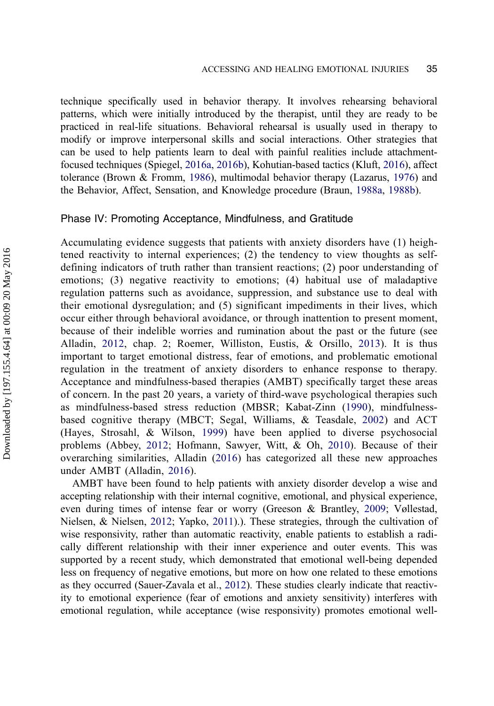technique specifically used in behavior therapy. It involves rehearsing behavioral patterns, which were initially introduced by the therapist, until they are ready to be practiced in real-life situations. Behavioral rehearsal is usually used in therapy to modify or improve interpersonal skills and social interactions. Other strategies that can be used to help patients learn to deal with painful realities include attachmentfocused techniques (Spiegel, [2016a,](#page-22-0) [2016b](#page-22-0)), Kohutian-based tactics (Kluft, [2016\)](#page-21-0), affect tolerance (Brown & Fromm, [1986\)](#page-19-0), multimodal behavior therapy (Lazarus, [1976](#page-21-0)) and the Behavior, Affect, Sensation, and Knowledge procedure (Braun, [1988a,](#page-19-0) [1988b\)](#page-19-0).

#### Phase IV: Promoting Acceptance, Mindfulness, and Gratitude

Accumulating evidence suggests that patients with anxiety disorders have (1) heightened reactivity to internal experiences; (2) the tendency to view thoughts as selfdefining indicators of truth rather than transient reactions; (2) poor understanding of emotions; (3) negative reactivity to emotions; (4) habitual use of maladaptive regulation patterns such as avoidance, suppression, and substance use to deal with their emotional dysregulation; and (5) significant impediments in their lives, which occur either through behavioral avoidance, or through inattention to present moment, because of their indelible worries and rumination about the past or the future (see Alladin, [2012,](#page-19-0) chap. 2; Roemer, Williston, Eustis, & Orsillo, [2013](#page-22-0)). It is thus important to target emotional distress, fear of emotions, and problematic emotional regulation in the treatment of anxiety disorders to enhance response to therapy. Acceptance and mindfulness-based therapies (AMBT) specifically target these areas of concern. In the past 20 years, a variety of third-wave psychological therapies such as mindfulness-based stress reduction (MBSR; Kabat-Zinn ([1990](#page-21-0)), mindfulnessbased cognitive therapy (MBCT; Segal, Williams, & Teasdale, [2002](#page-22-0)) and ACT (Hayes, Strosahl, & Wilson, [1999](#page-20-0)) have been applied to diverse psychosocial problems (Abbey, [2012;](#page-19-0) Hofmann, Sawyer, Witt, & Oh, [2010](#page-21-0)). Because of their overarching similarities, Alladin ([2016](#page-19-0)) has categorized all these new approaches under AMBT (Alladin, [2016](#page-19-0)).

AMBT have been found to help patients with anxiety disorder develop a wise and accepting relationship with their internal cognitive, emotional, and physical experience, even during times of intense fear or worry (Greeson & Brantley, [2009;](#page-20-0) Vøllestad, Nielsen, & Nielsen, [2012](#page-22-0); Yapko, [2011\)](#page-23-0).). These strategies, through the cultivation of wise responsivity, rather than automatic reactivity, enable patients to establish a radically different relationship with their inner experience and outer events. This was supported by a recent study, which demonstrated that emotional well-being depended less on frequency of negative emotions, but more on how one related to these emotions as they occurred (Sauer-Zavala et al., [2012](#page-22-0)). These studies clearly indicate that reactivity to emotional experience (fear of emotions and anxiety sensitivity) interferes with emotional regulation, while acceptance (wise responsivity) promotes emotional well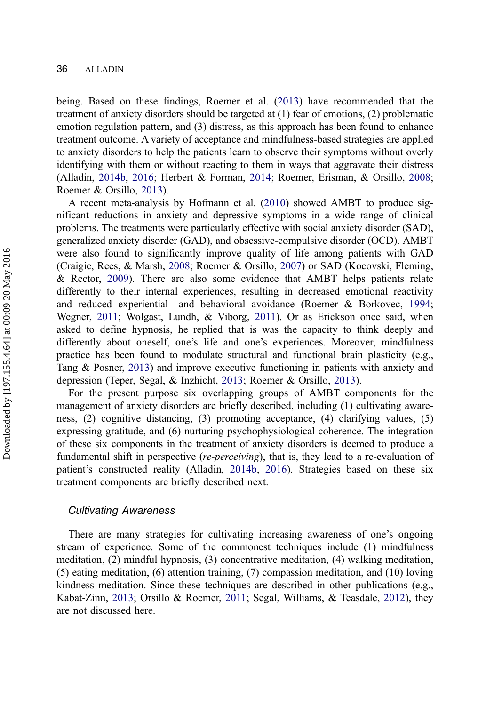being. Based on these findings, Roemer et al. [\(2013](#page-22-0)) have recommended that the treatment of anxiety disorders should be targeted at (1) fear of emotions, (2) problematic emotion regulation pattern, and (3) distress, as this approach has been found to enhance treatment outcome. A variety of acceptance and mindfulness-based strategies are applied to anxiety disorders to help the patients learn to observe their symptoms without overly identifying with them or without reacting to them in ways that aggravate their distress (Alladin, [2014b](#page-19-0), [2016;](#page-19-0) Herbert & Forman, [2014;](#page-20-0) Roemer, Erisman, & Orsillo, [2008](#page-22-0); Roemer & Orsillo, [2013](#page-22-0)).

A recent meta-analysis by Hofmann et al. [\(2010](#page-21-0)) showed AMBT to produce significant reductions in anxiety and depressive symptoms in a wide range of clinical problems. The treatments were particularly effective with social anxiety disorder (SAD), generalized anxiety disorder (GAD), and obsessive-compulsive disorder (OCD). AMBT were also found to significantly improve quality of life among patients with GAD (Craigie, Rees, & Marsh, [2008;](#page-20-0) Roemer & Orsillo, [2007\)](#page-22-0) or SAD (Kocovski, Fleming, & Rector, [2009](#page-21-0)). There are also some evidence that AMBT helps patients relate differently to their internal experiences, resulting in decreased emotional reactivity and reduced experiential—and behavioral avoidance (Roemer & Borkovec, [1994](#page-21-0); Wegner, [2011](#page-23-0); Wolgast, Lundh, & Viborg, [2011\)](#page-23-0). Or as Erickson once said, when asked to define hypnosis, he replied that is was the capacity to think deeply and differently about oneself, one's life and one's experiences. Moreover, mindfulness practice has been found to modulate structural and functional brain plasticity (e.g., Tang & Posner, [2013\)](#page-22-0) and improve executive functioning in patients with anxiety and depression (Teper, Segal, & Inzhicht, [2013](#page-22-0); Roemer & Orsillo, [2013\)](#page-22-0).

For the present purpose six overlapping groups of AMBT components for the management of anxiety disorders are briefly described, including (1) cultivating awareness, (2) cognitive distancing, (3) promoting acceptance, (4) clarifying values, (5) expressing gratitude, and (6) nurturing psychophysiological coherence. The integration of these six components in the treatment of anxiety disorders is deemed to produce a fundamental shift in perspective *(re-perceiving)*, that is, they lead to a re-evaluation of patient's constructed reality (Alladin, [2014b](#page-19-0), [2016\)](#page-19-0). Strategies based on these six treatment components are briefly described next.

## Cultivating Awareness

There are many strategies for cultivating increasing awareness of one's ongoing stream of experience. Some of the commonest techniques include (1) mindfulness meditation, (2) mindful hypnosis, (3) concentrative meditation, (4) walking meditation, (5) eating meditation, (6) attention training, (7) compassion meditation, and (10) loving kindness meditation. Since these techniques are described in other publications (e.g., Kabat-Zinn, [2013](#page-21-0); Orsillo & Roemer, [2011](#page-21-0); Segal, Williams, & Teasdale, [2012](#page-22-0)), they are not discussed here.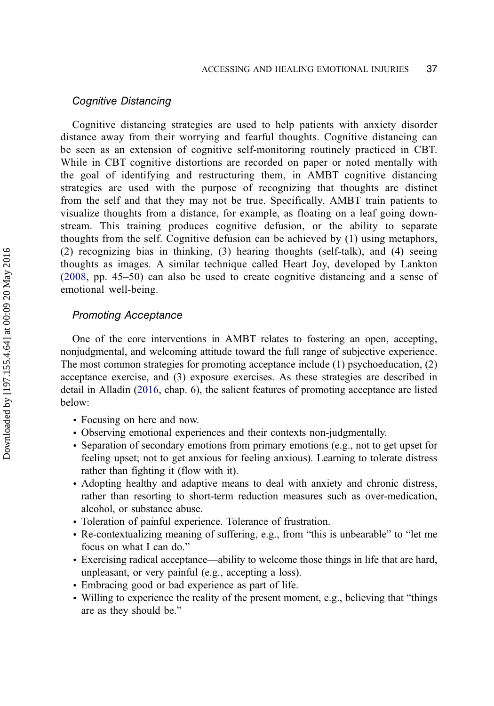#### Cognitive Distancing

Cognitive distancing strategies are used to help patients with anxiety disorder distance away from their worrying and fearful thoughts. Cognitive distancing can be seen as an extension of cognitive self-monitoring routinely practiced in CBT. While in CBT cognitive distortions are recorded on paper or noted mentally with the goal of identifying and restructuring them, in AMBT cognitive distancing strategies are used with the purpose of recognizing that thoughts are distinct from the self and that they may not be true. Specifically, AMBT train patients to visualize thoughts from a distance, for example, as floating on a leaf going downstream. This training produces cognitive defusion, or the ability to separate thoughts from the self. Cognitive defusion can be achieved by (1) using metaphors, (2) recognizing bias in thinking, (3) hearing thoughts (self-talk), and (4) seeing thoughts as images. A similar technique called Heart Joy, developed by Lankton [\(2008,](#page-21-0) pp. 45–50) can also be used to create cognitive distancing and a sense of emotional well-being.

#### Promoting Acceptance

One of the core interventions in AMBT relates to fostering an open, accepting, nonjudgmental, and welcoming attitude toward the full range of subjective experience. The most common strategies for promoting acceptance include (1) psychoeducation, (2) acceptance exercise, and (3) exposure exercises. As these strategies are described in detail in Alladin [\(2016,](#page-19-0) chap. 6), the salient features of promoting acceptance are listed below:

- Focusing on here and now.
- Observing emotional experiences and their contexts non-judgmentally.
- Separation of secondary emotions from primary emotions (e.g., not to get upset for feeling upset; not to get anxious for feeling anxious). Learning to tolerate distress rather than fighting it (flow with it).
- Adopting healthy and adaptive means to deal with anxiety and chronic distress, rather than resorting to short-term reduction measures such as over-medication, alcohol, or substance abuse.
- Toleration of painful experience. Tolerance of frustration.
- Re-contextualizing meaning of suffering, e.g., from "this is unbearable" to "let me focus on what I can do."
- Exercising radical acceptance—ability to welcome those things in life that are hard, unpleasant, or very painful (e.g., accepting a loss).
- Embracing good or bad experience as part of life.
- Willing to experience the reality of the present moment, e.g., believing that "things" are as they should be."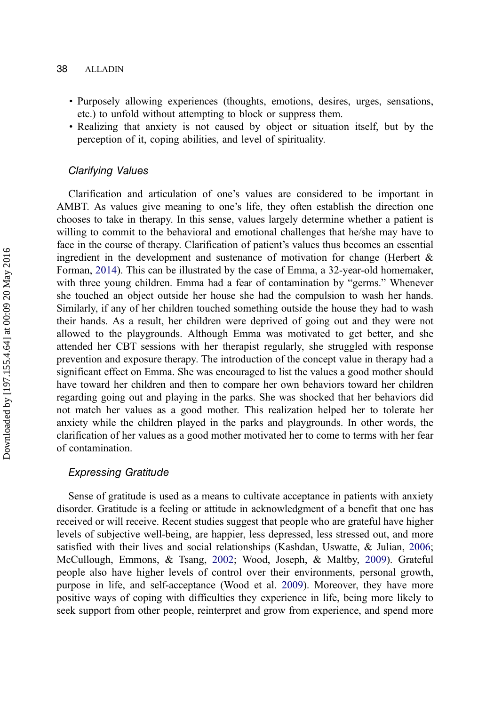#### 38 ALLADIN

- Purposely allowing experiences (thoughts, emotions, desires, urges, sensations, etc.) to unfold without attempting to block or suppress them.
- Realizing that anxiety is not caused by object or situation itself, but by the perception of it, coping abilities, and level of spirituality.

## Clarifying Values

Clarification and articulation of one's values are considered to be important in AMBT. As values give meaning to one's life, they often establish the direction one chooses to take in therapy. In this sense, values largely determine whether a patient is willing to commit to the behavioral and emotional challenges that he/she may have to face in the course of therapy. Clarification of patient's values thus becomes an essential ingredient in the development and sustenance of motivation for change (Herbert & Forman, [2014](#page-20-0)). This can be illustrated by the case of Emma, a 32-year-old homemaker, with three young children. Emma had a fear of contamination by "germs." Whenever she touched an object outside her house she had the compulsion to wash her hands. Similarly, if any of her children touched something outside the house they had to wash their hands. As a result, her children were deprived of going out and they were not allowed to the playgrounds. Although Emma was motivated to get better, and she attended her CBT sessions with her therapist regularly, she struggled with response prevention and exposure therapy. The introduction of the concept value in therapy had a significant effect on Emma. She was encouraged to list the values a good mother should have toward her children and then to compare her own behaviors toward her children regarding going out and playing in the parks. She was shocked that her behaviors did not match her values as a good mother. This realization helped her to tolerate her anxiety while the children played in the parks and playgrounds. In other words, the clarification of her values as a good mother motivated her to come to terms with her fear of contamination.

## Expressing Gratitude

Sense of gratitude is used as a means to cultivate acceptance in patients with anxiety disorder. Gratitude is a feeling or attitude in acknowledgment of a benefit that one has received or will receive. Recent studies suggest that people who are grateful have higher levels of subjective well-being, are happier, less depressed, less stressed out, and more satisfied with their lives and social relationships (Kashdan, Uswatte, & Julian, [2006](#page-21-0); McCullough, Emmons, & Tsang, [2002](#page-21-0); Wood, Joseph, & Maltby, [2009](#page-23-0)). Grateful people also have higher levels of control over their environments, personal growth, purpose in life, and self-acceptance (Wood et al. [2009](#page-23-0)). Moreover, they have more positive ways of coping with difficulties they experience in life, being more likely to seek support from other people, reinterpret and grow from experience, and spend more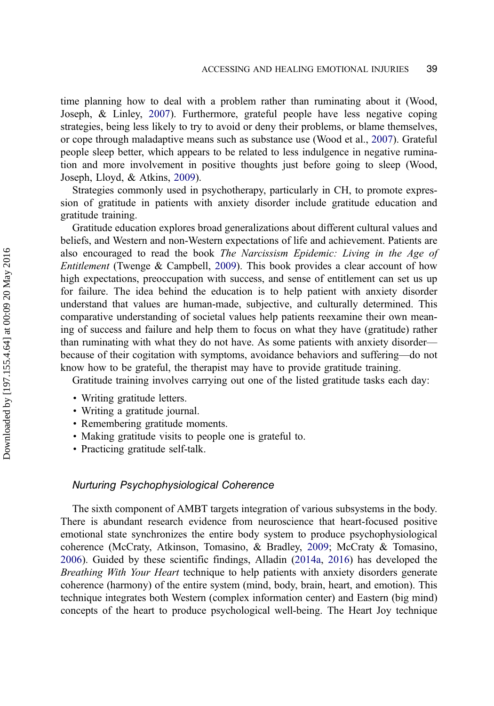time planning how to deal with a problem rather than ruminating about it (Wood, Joseph, & Linley, [2007\)](#page-23-0). Furthermore, grateful people have less negative coping strategies, being less likely to try to avoid or deny their problems, or blame themselves, or cope through maladaptive means such as substance use (Wood et al., [2007\)](#page-23-0). Grateful people sleep better, which appears to be related to less indulgence in negative rumination and more involvement in positive thoughts just before going to sleep (Wood, Joseph, Lloyd, & Atkins, [2009](#page-23-0)).

Strategies commonly used in psychotherapy, particularly in CH, to promote expression of gratitude in patients with anxiety disorder include gratitude education and gratitude training.

Gratitude education explores broad generalizations about different cultural values and beliefs, and Western and non-Western expectations of life and achievement. Patients are also encouraged to read the book The Narcissism Epidemic: Living in the Age of Entitlement (Twenge & Campbell, [2009](#page-22-0)). This book provides a clear account of how high expectations, preoccupation with success, and sense of entitlement can set us up for failure. The idea behind the education is to help patient with anxiety disorder understand that values are human-made, subjective, and culturally determined. This comparative understanding of societal values help patients reexamine their own meaning of success and failure and help them to focus on what they have (gratitude) rather than ruminating with what they do not have. As some patients with anxiety disorder because of their cogitation with symptoms, avoidance behaviors and suffering—do not know how to be grateful, the therapist may have to provide gratitude training.

Gratitude training involves carrying out one of the listed gratitude tasks each day:

- Writing gratitude letters.
- Writing a gratitude journal.
- Remembering gratitude moments.
- Making gratitude visits to people one is grateful to.
- Practicing gratitude self-talk.

## Nurturing Psychophysiological Coherence

The sixth component of AMBT targets integration of various subsystems in the body. There is abundant research evidence from neuroscience that heart-focused positive emotional state synchronizes the entire body system to produce psychophysiological coherence (McCraty, Atkinson, Tomasino, & Bradley, [2009](#page-21-0); McCraty & Tomasino, [2006\)](#page-21-0). Guided by these scientific findings, Alladin ([2014a](#page-19-0), [2016\)](#page-19-0) has developed the Breathing With Your Heart technique to help patients with anxiety disorders generate coherence (harmony) of the entire system (mind, body, brain, heart, and emotion). This technique integrates both Western (complex information center) and Eastern (big mind) concepts of the heart to produce psychological well-being. The Heart Joy technique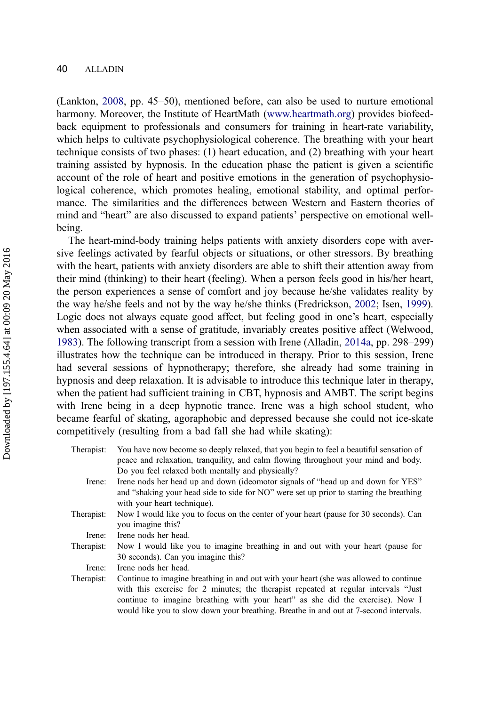(Lankton, [2008](#page-21-0), pp. 45–50), mentioned before, can also be used to nurture emotional harmony. Moreover, the Institute of HeartMath [\(www.heartmath.org](http://www.heartmath.org)) provides biofeedback equipment to professionals and consumers for training in heart-rate variability, which helps to cultivate psychophysiological coherence. The breathing with your heart technique consists of two phases: (1) heart education, and (2) breathing with your heart training assisted by hypnosis. In the education phase the patient is given a scientific account of the role of heart and positive emotions in the generation of psychophysiological coherence, which promotes healing, emotional stability, and optimal performance. The similarities and the differences between Western and Eastern theories of mind and "heart" are also discussed to expand patients' perspective on emotional wellbeing.

The heart-mind-body training helps patients with anxiety disorders cope with aversive feelings activated by fearful objects or situations, or other stressors. By breathing with the heart, patients with anxiety disorders are able to shift their attention away from their mind (thinking) to their heart (feeling). When a person feels good in his/her heart, the person experiences a sense of comfort and joy because he/she validates reality by the way he/she feels and not by the way he/she thinks (Fredrickson, [2002;](#page-20-0) Isen, [1999\)](#page-21-0). Logic does not always equate good affect, but feeling good in one's heart, especially when associated with a sense of gratitude, invariably creates positive affect (Welwood, [1983\)](#page-23-0). The following transcript from a session with Irene (Alladin, [2014a](#page-19-0), pp. 298–299) illustrates how the technique can be introduced in therapy. Prior to this session, Irene had several sessions of hypnotherapy; therefore, she already had some training in hypnosis and deep relaxation. It is advisable to introduce this technique later in therapy, when the patient had sufficient training in CBT, hypnosis and AMBT. The script begins with Irene being in a deep hypnotic trance. Irene was a high school student, who became fearful of skating, agoraphobic and depressed because she could not ice-skate competitively (resulting from a bad fall she had while skating):

- Therapist: You have now become so deeply relaxed, that you begin to feel a beautiful sensation of peace and relaxation, tranquility, and calm flowing throughout your mind and body. Do you feel relaxed both mentally and physically? Irene: Irene nods her head up and down (ideomotor signals of "head up and down for YES"
	- and "shaking your head side to side for NO" were set up prior to starting the breathing with your heart technique).
- Therapist: Now I would like you to focus on the center of your heart (pause for 30 seconds). Can you imagine this?
- Irene: Irene nods her head.

Therapist: Now I would like you to imagine breathing in and out with your heart (pause for 30 seconds). Can you imagine this?

Irene: Irene nods her head.

Therapist: Continue to imagine breathing in and out with your heart (she was allowed to continue with this exercise for 2 minutes; the therapist repeated at regular intervals "Just continue to imagine breathing with your heart" as she did the exercise). Now I would like you to slow down your breathing. Breathe in and out at 7-second intervals.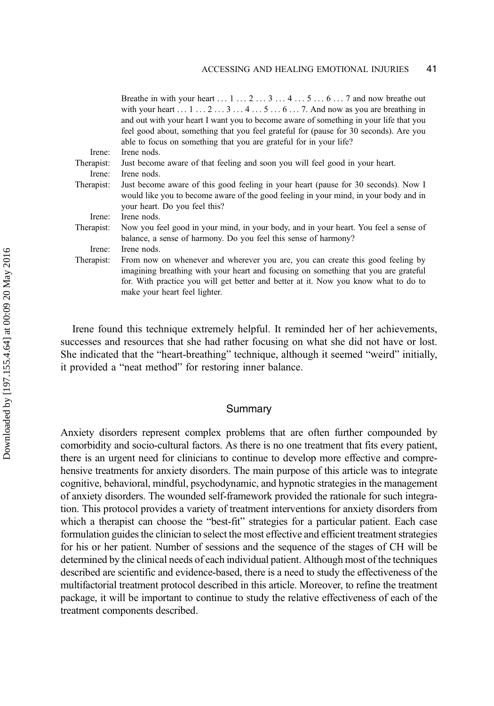|            | Breathe in with your heart $\dots$ 1 $\dots$ 2 $\dots$ 3 $\dots$ 4 $\dots$ 5 $\dots$ 6 $\dots$ 7 and now breathe out |
|------------|----------------------------------------------------------------------------------------------------------------------|
|            | with your heart 1 2 3 4 5 6 7. And now as you are breathing in                                                       |
|            | and out with your heart I want you to become aware of something in your life that you                                |
|            | feel good about, something that you feel grateful for (pause for 30 seconds). Are you                                |
|            | able to focus on something that you are grateful for in your life?                                                   |
| Irene:     | Irene nods.                                                                                                          |
| Therapist: | Just become aware of that feeling and soon you will feel good in your heart.                                         |
| Irene:     | Irene nods.                                                                                                          |
| Therapist: | Just become aware of this good feeling in your heart (pause for 30 seconds). Now I                                   |
|            | would like you to become aware of the good feeling in your mind, in your body and in                                 |
|            | your heart. Do you feel this?                                                                                        |
| Irene:     | Irene nods.                                                                                                          |
| Therapist: | Now you feel good in your mind, in your body, and in your heart. You feel a sense of                                 |
|            | balance, a sense of harmony. Do you feel this sense of harmony?                                                      |
| Irene:     | Irene nods.                                                                                                          |
| Therapist: | From now on whenever and wherever you are, you can create this good feeling by                                       |
|            | imagining breathing with your heart and focusing on something that you are grateful                                  |
|            | for. With practice you will get better and better at it. Now you know what to do to                                  |
|            | make your heart feel lighter.                                                                                        |
|            |                                                                                                                      |

Irene found this technique extremely helpful. It reminded her of her achievements, successes and resources that she had rather focusing on what she did not have or lost. She indicated that the "heart-breathing" technique, although it seemed "weird" initially, it provided a "neat method" for restoring inner balance.

## **Summary**

Anxiety disorders represent complex problems that are often further compounded by comorbidity and socio-cultural factors. As there is no one treatment that fits every patient, there is an urgent need for clinicians to continue to develop more effective and comprehensive treatments for anxiety disorders. The main purpose of this article was to integrate cognitive, behavioral, mindful, psychodynamic, and hypnotic strategies in the management of anxiety disorders. The wounded self-framework provided the rationale for such integration. This protocol provides a variety of treatment interventions for anxiety disorders from which a therapist can choose the "best-fit" strategies for a particular patient. Each case formulation guides the clinician to select the most effective and efficient treatment strategies for his or her patient. Number of sessions and the sequence of the stages of CH will be determined by the clinical needs of each individual patient. Although most of the techniques described are scientific and evidence-based, there is a need to study the effectiveness of the multifactorial treatment protocol described in this article. Moreover, to refine the treatment package, it will be important to continue to study the relative effectiveness of each of the treatment components described.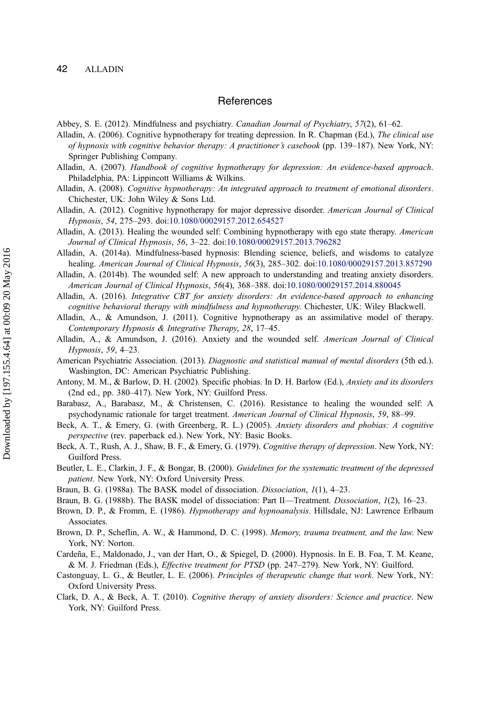#### References

<span id="page-19-0"></span>Abbey, S. E. (2012). Mindfulness and psychiatry. Canadian Journal of Psychiatry, 57(2), 61–62.

- Alladin, A. (2006). Cognitive hypnotherapy for treating depression. In R. Chapman (Ed.), The clinical use of hypnosis with cognitive behavior therapy: A practitioner's casebook (pp. 139–187). New York, NY: Springer Publishing Company.
- Alladin, A. (2007). Handbook of cognitive hypnotherapy for depression: An evidence-based approach. Philadelphia, PA: Lippincott Williams & Wilkins.
- Alladin, A. (2008). Cognitive hypnotherapy: An integrated approach to treatment of emotional disorders. Chichester, UK: John Wiley & Sons Ltd.
- Alladin, A. (2012). Cognitive hypnotherapy for major depressive disorder. American Journal of Clinical Hypnosis, 54, 275–293. doi:[10.1080/00029157.2012.654527](http://dx.doi.org/10.1080/00029157.2012.654527)
- Alladin, A. (2013). Healing the wounded self: Combining hypnotherapy with ego state therapy. American Journal of Clinical Hypnosis, 56, 3–22. doi[:10.1080/00029157.2013.796282](http://dx.doi.org/10.1080/00029157.2013.796282)
- Alladin, A. (2014a). Mindfulness-based hypnosis: Blending science, beliefs, and wisdoms to catalyze healing. American Journal of Clinical Hypnosis, 56(3), 285–302. doi:[10.1080/00029157.2013.857290](http://dx.doi.org/10.1080/00029157.2013.857290)
- Alladin, A. (2014b). The wounded self: A new approach to understanding and treating anxiety disorders. American Journal of Clinical Hypnosis, 56(4), 368–388. doi:[10.1080/00029157.2014.880045](http://dx.doi.org/10.1080/00029157.2014.880045)
- Alladin, A. (2016). Integrative CBT for anxiety disorders: An evidence-based approach to enhancing cognitive behavioral therapy with mindfulness and hypnotherapy. Chichester, UK: Wiley Blackwell.
- Alladin, A., & Amundson, J. (2011). Cognitive hypnotherapy as an assimilative model of therapy. Contemporary Hypnosis & Integrative Therapy, 28, 17–45.
- Alladin, A., & Amundson, J. (2016). Anxiety and the wounded self. American Journal of Clinical Hypnosis, 59, 4–23.
- American Psychiatric Association. (2013). Diagnostic and statistical manual of mental disorders (5th ed.). Washington, DC: American Psychiatric Publishing.
- Antony, M. M., & Barlow, D. H. (2002). Specific phobias. In D. H. Barlow (Ed.), Anxiety and its disorders (2nd ed., pp. 380–417). New York, NY: Guilford Press.
- Barabasz, A., Barabasz, M., & Christensen, C. (2016). Resistance to healing the wounded self: A psychodynamic rationale for target treatment. American Journal of Clinical Hypnosis, 59, 88–99.
- Beck, A. T., & Emery, G. (with Greenberg, R. L.) (2005). Anxiety disorders and phobias: A cognitive perspective (rev. paperback ed.). New York, NY: Basic Books.
- Beck, A. T., Rush, A. J., Shaw, B. F., & Emery, G. (1979). Cognitive therapy of depression. New York, NY: Guilford Press.
- Beutler, L. E., Clarkin, J. F., & Bongar, B. (2000). Guidelines for the systematic treatment of the depressed patient. New York, NY: Oxford University Press.
- Braun, B. G. (1988a). The BASK model of dissociation. *Dissociation*,  $1(1)$ , 4-23.
- Braun, B. G. (1988b). The BASK model of dissociation: Part II—Treatment. Dissociation,  $I(2)$ , 16–23.
- Brown, D. P., & Fromm, E. (1986). Hypnotherapy and hypnoanalysis. Hillsdale, NJ: Lawrence Erlbaum Associates.
- Brown, D. P., Scheflin, A. W., & Hammond, D. C. (1998). Memory, trauma treatment, and the law. New York, NY: Norton.
- Cardeña, E., Maldonado, J., van der Hart, O., & Spiegel, D. (2000). Hypnosis. In E. B. Foa, T. M. Keane, & M. J. Friedman (Eds.), Effective treatment for PTSD (pp. 247–279). New York, NY: Guilford.
- Castonguay, L. G., & Beutler, L. E. (2006). Principles of therapeutic change that work. New York, NY: Oxford University Press.
- Clark, D. A., & Beck, A. T. (2010). Cognitive therapy of anxiety disorders: Science and practice. New York, NY: Guilford Press.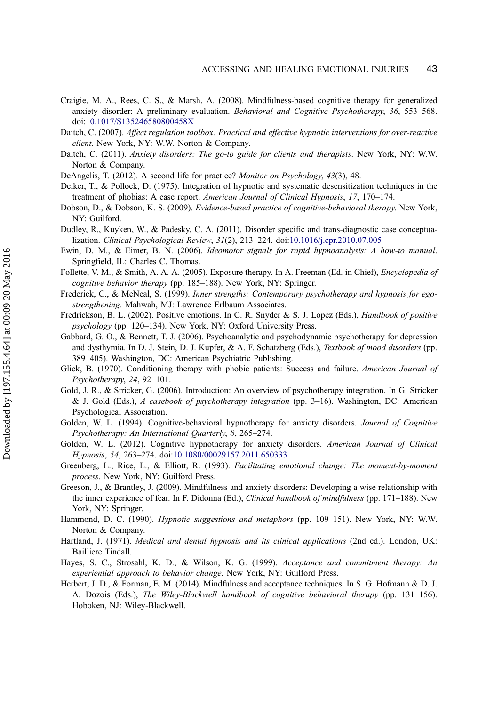- <span id="page-20-0"></span>Craigie, M. A., Rees, C. S., & Marsh, A. (2008). Mindfulness‐based cognitive therapy for generalized anxiety disorder: A preliminary evaluation. Behavioral and Cognitive Psychotherapy, 36, 553–568. doi:[10.1017/S135246580800458X](http://dx.doi.org/10.1017/S135246580800458X)
- Daitch, C. (2007). Affect regulation toolbox: Practical and effective hypnotic interventions for over-reactive client. New York, NY: W.W. Norton & Company.
- Daitch, C. (2011). Anxiety disorders: The go-to guide for clients and therapists. New York, NY: W.W. Norton & Company.
- DeAngelis, T. (2012). A second life for practice? Monitor on Psychology, 43(3), 48.
- Deiker, T., & Pollock, D. (1975). Integration of hypnotic and systematic desensitization techniques in the treatment of phobias: A case report. American Journal of Clinical Hypnosis, 17, 170–174.
- Dobson, D., & Dobson, K. S. (2009). Evidence-based practice of cognitive-behavioral therapy. New York, NY: Guilford.
- Dudley, R., Kuyken, W., & Padesky, C. A. (2011). Disorder specific and trans-diagnostic case conceptualization. Clinical Psychological Review, 31(2), 213–224. doi[:10.1016/j.cpr.2010.07.005](http://dx.doi.org/10.1016/j.cpr.2010.07.005)
- Ewin, D. M., & Eimer, B. N. (2006). Ideomotor signals for rapid hypnoanalysis: A how-to manual. Springfield, IL: Charles C. Thomas.
- Follette, V. M., & Smith, A. A. A. (2005). Exposure therapy. In A. Freeman (Ed. in Chief), Encyclopedia of cognitive behavior therapy (pp. 185–188). New York, NY: Springer.
- Frederick, C., & McNeal, S. (1999). Inner strengths: Contemporary psychotherapy and hypnosis for egostrengthening. Mahwah, MJ: Lawrence Erlbaum Associates.
- Fredrickson, B. L. (2002). Positive emotions. In C. R. Snyder & S. J. Lopez (Eds.), *Handbook of positive* psychology (pp. 120–134). New York, NY: Oxford University Press.
- Gabbard, G. O., & Bennett, T. J. (2006). Psychoanalytic and psychodynamic psychotherapy for depression and dysthymia. In D. J. Stein, D. J. Kupfer, & A. F. Schatzberg (Eds.), Textbook of mood disorders (pp. 389–405). Washington, DC: American Psychiatric Publishing.
- Glick, B. (1970). Conditioning therapy with phobic patients: Success and failure. American Journal of Psychotherapy, 24, 92–101.
- Gold, J. R., & Stricker, G. (2006). Introduction: An overview of psychotherapy integration. In G. Stricker & J. Gold (Eds.), A casebook of psychotherapy integration (pp. 3–16). Washington, DC: American Psychological Association.
- Golden, W. L. (1994). Cognitive-behavioral hypnotherapy for anxiety disorders. *Journal of Cognitive* Psychotherapy: An International Quarterly, 8, 265–274.
- Golden, W. L. (2012). Cognitive hypnotherapy for anxiety disorders. American Journal of Clinical Hypnosis, 54, 263–274. doi:[10.1080/00029157.2011.650333](http://dx.doi.org/10.1080/00029157.2011.650333)
- Greenberg, L., Rice, L., & Elliott, R. (1993). Facilitating emotional change: The moment-by-moment process. New York, NY: Guilford Press.
- Greeson, J., & Brantley, J. (2009). Mindfulness and anxiety disorders: Developing a wise relationship with the inner experience of fear. In F. Didonna (Ed.), Clinical handbook of mindfulness (pp. 171–188). New York, NY: Springer.
- Hammond, D. C. (1990). Hypnotic suggestions and metaphors (pp. 109–151). New York, NY: W.W. Norton & Company.
- Hartland, J. (1971). Medical and dental hypnosis and its clinical applications (2nd ed.). London, UK: Bailliere Tindall.
- Hayes, S. C., Strosahl, K. D., & Wilson, K. G. (1999). Acceptance and commitment therapy: An experiential approach to behavior change. New York, NY: Guilford Press.
- Herbert, J. D., & Forman, E. M. (2014). Mindfulness and acceptance techniques. In S. G. Hofmann & D. J. A. Dozois (Eds.), The Wiley‐Blackwell handbook of cognitive behavioral therapy (pp. 131–156). Hoboken, NJ: Wiley‐Blackwell.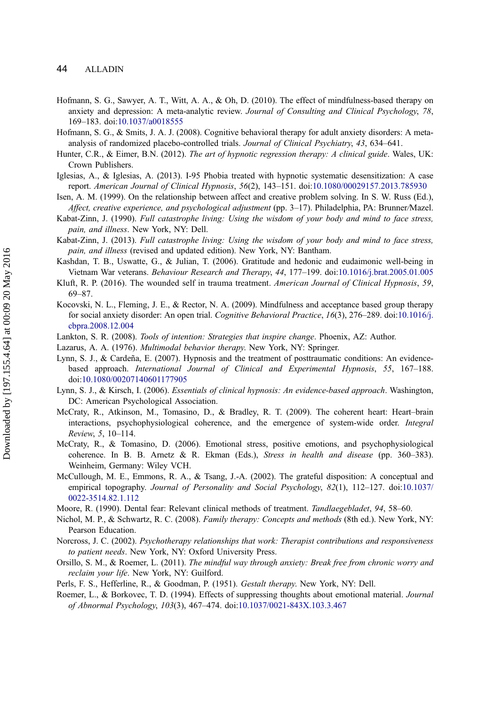- <span id="page-21-0"></span>Hofmann, S. G., Sawyer, A. T., Witt, A. A., & Oh, D. (2010). The effect of mindfulness-based therapy on anxiety and depression: A meta-analytic review. Journal of Consulting and Clinical Psychology, 78, 169–183. doi[:10.1037/a0018555](http://dx.doi.org/10.1037/a0018555)
- Hofmann, S. G., & Smits, J. A. J. (2008). Cognitive behavioral therapy for adult anxiety disorders: A metaanalysis of randomized placebo-controlled trials. Journal of Clinical Psychiatry, 43, 634–641.
- Hunter, C.R., & Eimer, B.N. (2012). The art of hypnotic regression therapy: A clinical guide. Wales, UK: Crown Publishers.
- Iglesias, A., & Iglesias, A. (2013). I-95 Phobia treated with hypnotic systematic desensitization: A case report. American Journal of Clinical Hypnosis, 56(2), 143–151. doi:[10.1080/00029157.2013.785930](http://dx.doi.org/10.1080/00029157.2013.785930)
- Isen, A. M. (1999). On the relationship between affect and creative problem solving. In S. W. Russ (Ed.), Affect, creative experience, and psychological adjustment (pp. 3–17). Philadelphia, PA: Brunner/Mazel.
- Kabat-Zinn, J. (1990). Full catastrophe living: Using the wisdom of your body and mind to face stress, pain, and illness. New York, NY: Dell.
- Kabat-Zinn, J. (2013). Full catastrophe living: Using the wisdom of your body and mind to face stress, pain, and illness (revised and updated edition). New York, NY: Bantham.
- Kashdan, T. B., Uswatte, G., & Julian, T. (2006). Gratitude and hedonic and eudaimonic well‐being in Vietnam War veterans. Behaviour Research and Therapy, 44, 177–199. doi[:10.1016/j.brat.2005.01.005](http://dx.doi.org/10.1016/j.brat.2005.01.005)
- Kluft, R. P. (2016). The wounded self in trauma treatment. American Journal of Clinical Hypnosis, 59, 69–87.
- Kocovski, N. L., Fleming, J. E., & Rector, N. A. (2009). Mindfulness and acceptance based group therapy for social anxiety disorder: An open trial. Cognitive Behavioral Practice, 16(3), 276–289. doi:[10.1016/j.](http://dx.doi.org/10.1016/j.cbpra.2008.12.004) [cbpra.2008.12.004](http://dx.doi.org/10.1016/j.cbpra.2008.12.004)
- Lankton, S. R. (2008). Tools of intention: Strategies that inspire change. Phoenix, AZ: Author.
- Lazarus, A. A. (1976). Multimodal behavior therapy. New York, NY: Springer.
- Lynn, S. J., & Cardeña, E. (2007). Hypnosis and the treatment of posttraumatic conditions: An evidencebased approach. International Journal of Clinical and Experimental Hypnosis, 55, 167–188. doi:[10.1080/00207140601177905](http://dx.doi.org/10.1080/00207140601177905)
- Lynn, S. J., & Kirsch, I. (2006). Essentials of clinical hypnosis: An evidence-based approach. Washington, DC: American Psychological Association.
- McCraty, R., Atkinson, M., Tomasino, D., & Bradley, R. T. (2009). The coherent heart: Heart–brain interactions, psychophysiological coherence, and the emergence of system-wide order. Integral Review, 5, 10–114.
- McCraty, R., & Tomasino, D. (2006). Emotional stress, positive emotions, and psychophysiological coherence. In B. B. Arnetz & R. Ekman (Eds.), Stress in health and disease (pp. 360–383). Weinheim, Germany: Wiley VCH.
- McCullough, M. E., Emmons, R. A., & Tsang, J.-A. (2002). The grateful disposition: A conceptual and empirical topography. Journal of Personality and Social Psychology, 82(1), 112-127. doi:[10.1037/](http://dx.doi.org/10.1037/0022-3514.82.1.112) [0022-3514.82.1.112](http://dx.doi.org/10.1037/0022-3514.82.1.112)
- Moore, R. (1990). Dental fear: Relevant clinical methods of treatment. Tandlaegebladet, 94, 58–60.
- Nichol, M. P., & Schwartz, R. C. (2008). Family therapy: Concepts and methods (8th ed.). New York, NY: Pearson Education.
- Norcross, J. C. (2002). Psychotherapy relationships that work: Therapist contributions and responsiveness to patient needs. New York, NY: Oxford University Press.
- Orsillo, S. M., & Roemer, L. (2011). The mindful way through anxiety: Break free from chronic worry and reclaim your life. New York, NY: Guilford.
- Perls, F. S., Hefferline, R., & Goodman, P. (1951). Gestalt therapy. New York, NY: Dell.
- Roemer, L., & Borkovec, T. D. (1994). Effects of suppressing thoughts about emotional material. Journal of Abnormal Psychology, 103(3), 467–474. doi[:10.1037/0021-843X.103.3.467](http://dx.doi.org/10.1037/0021-843X.103.3.467)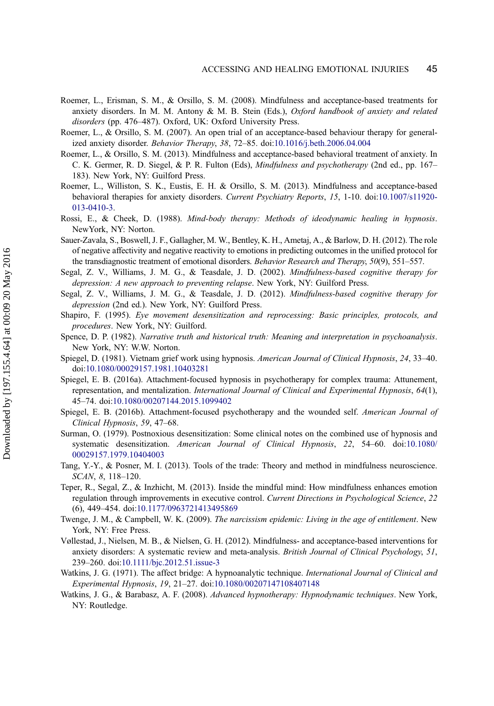- <span id="page-22-0"></span>Roemer, L., Erisman, S. M., & Orsillo, S. M. (2008). Mindfulness and acceptance-based treatments for anxiety disorders. In M. M. Antony & M. B. Stein (Eds.), Oxford handbook of anxiety and related disorders (pp. 476–487). Oxford, UK: Oxford University Press.
- Roemer, L., & Orsillo, S. M. (2007). An open trial of an acceptance-based behaviour therapy for generalized anxiety disorder. Behavior Therapy, 38, 72–85. doi:[10.1016/j.beth.2006.04.004](http://dx.doi.org/10.1016/j.beth.2006.04.004)
- Roemer, L., & Orsillo, S. M. (2013). Mindfulness and acceptance-based behavioral treatment of anxiety. In C. K. Germer, R. D. Siegel, & P. R. Fulton (Eds), Mindfulness and psychotherapy (2nd ed., pp. 167– 183). New York, NY: Guilford Press.
- Roemer, L., Williston, S. K., Eustis, E. H. & Orsillo, S. M. (2013). Mindfulness and acceptance‐based behavioral therapies for anxiety disorders. Current Psychiatry Reports, 15, 1-10. doi[:10.1007/s11920](http://dx.doi.org/10.1007/s11920%2010013%20100410%20103)-013‐[0410](http://dx.doi.org/10.1007/s11920%2010013%20100410%20103)‐3.
- Rossi, E., & Cheek, D. (1988). Mind‐body therapy: Methods of ideodynamic healing in hypnosis. NewYork, NY: Norton.
- Sauer-Zavala, S., Boswell, J. F., Gallagher, M. W., Bentley, K. H., Ametaj, A., & Barlow, D. H. (2012). The role of negative affectivity and negative reactivity to emotions in predicting outcomes in the unified protocol for the transdiagnostic treatment of emotional disorders. Behavior Research and Therapy, 50(9), 551–557.
- Segal, Z. V., Williams, J. M. G., & Teasdale, J. D. (2002). Mindfulness-based cognitive therapy for depression: A new approach to preventing relapse. New York, NY: Guilford Press.
- Segal, Z. V., Williams, J. M. G., & Teasdale, J. D. (2012). Mindfulness-based cognitive therapy for depression (2nd ed.). New York, NY: Guilford Press.
- Shapiro, F. (1995). Eye movement desensitization and reprocessing: Basic principles, protocols, and procedures. New York, NY: Guilford.
- Spence, D. P. (1982). Narrative truth and historical truth: Meaning and interpretation in psychoanalysis. New York, NY: W.W. Norton.
- Spiegel, D. (1981). Vietnam grief work using hypnosis. American Journal of Clinical Hypnosis, 24, 33–40. doi:[10.1080/00029157.1981.10403281](http://dx.doi.org/10.1080/00029157.1981.10403281)
- Spiegel, E. B. (2016a). Attachment-focused hypnosis in psychotherapy for complex trauma: Attunement, representation, and mentalization. International Journal of Clinical and Experimental Hypnosis, 64(1), 45–74. doi[:10.1080/00207144.2015.1099402](http://dx.doi.org/10.1080/00207144.2015.1099402)
- Spiegel, E. B. (2016b). Attachment-focused psychotherapy and the wounded self. American Journal of Clinical Hypnosis, 59, 47–68.
- Surman, O. (1979). Postnoxious desensitization: Some clinical notes on the combined use of hypnosis and systematic desensitization. American Journal of Clinical Hypnosis, 22, 54–60. doi:[10.1080/](http://dx.doi.org/10.1080/00029157.1979.10404003) [00029157.1979.10404003](http://dx.doi.org/10.1080/00029157.1979.10404003)
- Tang, Y.-Y., & Posner, M. I. (2013). Tools of the trade: Theory and method in mindfulness neuroscience. SCAN, 8, 118–120.
- Teper, R., Segal, Z., & Inzhicht, M. (2013). Inside the mindful mind: How mindfulness enhances emotion regulation through improvements in executive control. Current Directions in Psychological Science, 22 (6), 449–454. doi:[10.1177/0963721413495869](http://dx.doi.org/10.1177/0963721413495869)
- Twenge, J. M., & Campbell, W. K. (2009). The narcissism epidemic: Living in the age of entitlement. New York, NY: Free Press.
- Vøllestad, J., Nielsen, M. B., & Nielsen, G. H. (2012). Mindfulness- and acceptance-based interventions for anxiety disorders: A systematic review and meta-analysis. British Journal of Clinical Psychology, 51, 239–260. doi[:10.1111/bjc.2012.51.issue-3](http://dx.doi.org/10.1111/bjc.2012.51.issue-3)
- Watkins, J. G. (1971). The affect bridge: A hypnoanalytic technique. International Journal of Clinical and Experimental Hypnosis, 19, 21–27. doi[:10.1080/00207147108407148](http://dx.doi.org/10.1080/00207147108407148)
- Watkins, J. G., & Barabasz, A. F. (2008). Advanced hypnotherapy: Hypnodynamic techniques. New York, NY: Routledge.